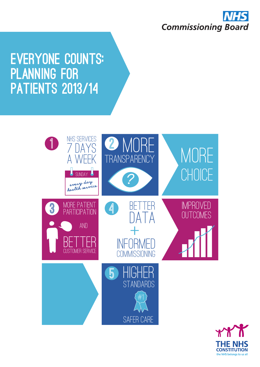

# **EVERYONE COUNTS:** Planning for **PATIENTS 2013/14**



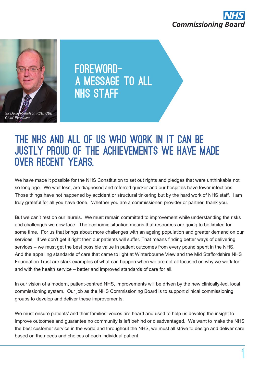



FOREWORDa message to all **NHS STAFF** 

# THE NHS AND ALL OF US WHO WORK IN IT CAN BE justly proud of the achievements we have made over recent years.

We have made it possible for the NHS Constitution to set out rights and pledges that were unthinkable not so long ago. We wait less, are diagnosed and referred quicker and our hospitals have fewer infections. Those things have not happened by accident or structural tinkering but by the hard work of NHS staff. I am truly grateful for all you have done. Whether you are a commissioner, provider or partner, thank you.

But we can't rest on our laurels. We must remain committed to improvement while understanding the risks and challenges we now face. The economic situation means that resources are going to be limited for some time. For us that brings about more challenges with an ageing population and greater demand on our services. If we don't get it right then our patients will suffer. That means finding better ways of delivering services – we must get the best possible value in patient outcomes from every pound spent in the NHS. And the appalling standards of care that came to light at Winterbourne View and the Mid Staffordshire NHS Foundation Trust are stark examples of what can happen when we are not all focused on why we work for and with the health service – better and improved standards of care for all.

In our vision of a modern, patient-centred NHS, improvements will be driven by the new clinically-led, local commissioning system. Our job as the NHS Commissioning Board is to support clinical commissioning groups to develop and deliver these improvements.

We must ensure patients' and their families' voices are heard and used to help us develop the insight to improve outcomes and guarantee no community is left behind or disadvantaged. We want to make the NHS the best customer service in the world and throughout the NHS, we must all strive to design and deliver care based on the needs and choices of each individual patient.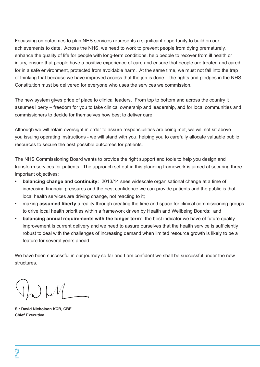Focussing on outcomes to plan NHS services represents a significant opportunity to build on our achievements to date. Across the NHS, we need to work to prevent people from dying prematurely, enhance the quality of life for people with long-term conditions, help people to recover from ill health or injury, ensure that people have a positive experience of care and ensure that people are treated and cared for in a safe environment, protected from avoidable harm. At the same time, we must not fall into the trap of thinking that because we have improved access that the job is done – the rights and pledges in the NHS Constitution must be delivered for everyone who uses the services we commission.

The new system gives pride of place to clinical leaders. From top to bottom and across the country it assumes liberty – freedom for you to take clinical ownership and leadership, and for local communities and commissioners to decide for themselves how best to deliver care.

Although we will retain oversight in order to assure responsibilities are being met, we will not sit above you issuing operating instructions - we will stand with you, helping you to carefully allocate valuable public resources to secure the best possible outcomes for patients.

The NHS Commissioning Board wants to provide the right support and tools to help you design and transform services for patients. The approach set out in this planning framework is aimed at securing three important objectives:

- **• balancing change and continuity:** 2013/14 sees widescale organisational change at a time of increasing financial pressures and the best confidence we can provide patients and the public is that local health services are driving change, not reacting to it;
- making **assumed liberty** a reality through creating the time and space for clinical commissioning groups to drive local health priorities within a framework driven by Health and Wellbeing Boards; and
- **• balancing annual requirements with the longer term**: the best indicator we have of future quality improvement is current delivery and we need to assure ourselves that the health service is sufficiently robust to deal with the challenges of increasing demand when limited resource growth is likely to be a feature for several years ahead.

We have been successful in our journey so far and I am confident we shall be successful under the new structures.

**Sir David Nicholson KCB, CBE Chief Executive**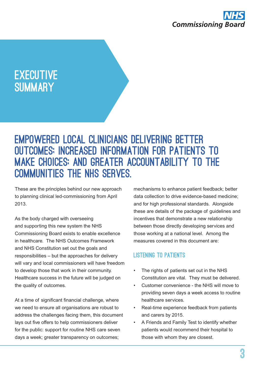

# **EXECUTIVE SUMMARY**

# Empowered local clinicians delivering better outcomes; increased information for patients to make choices; and greater accountability to the communities the NHS serves.

These are the principles behind our new approach to planning clinical led-commissioning from April 2013.

As the body charged with overseeing and supporting this new system the NHS Commissioning Board exists to enable excellence in healthcare. The NHS Outcomes Framework and NHS Constitution set out the goals and responsibilities – but the approaches for delivery will vary and local commissioners will have freedom to develop those that work in their community. Healthcare success in the future will be judged on the quality of outcomes.

At a time of significant financial challenge, where we need to ensure all organisations are robust to address the challenges facing them, this document lays out five offers to help commissioners deliver for the public: support for routine NHS care seven days a week; greater transparency on outcomes;

mechanisms to enhance patient feedback; better data collection to drive evidence-based medicine; and for high professional standards. Alongside these are details of the package of guidelines and incentives that demonstrate a new relationship between those directly developing services and those working at a national level. Among the measures covered in this document are:

# Listening to patients

- The rights of patients set out in the NHS Constitution are vital. They must be delivered.
- Customer convenience the NHS will move to providing seven days a week access to routine healthcare services.
- Real-time experience feedback from patients and carers by 2015.
- A Friends and Family Test to identify whether patients would recommend their hospital to those with whom they are closest.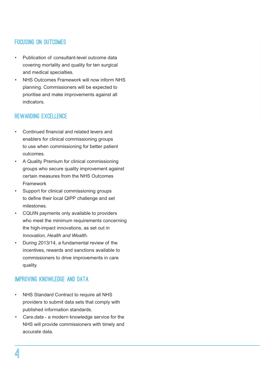# Focusing on outcomeS

- Publication of consultant-level outcome data covering mortality and quality for ten surgical and medical specialties.
- **NHS Outcomes Framework will now inform NHS** planning. Commissioners will be expected to prioritise and make improvements against all indicators.

### REWARDING EXCELLENCE

- Continued financial and related levers and enablers for clinical commissioning groups to use when commissioning for better patient outcomes.
- A Quality Premium for clinical commissioning groups who secure quality improvement against certain measures from the NHS Outcomes Framework
- Support for clinical commissioning groups to define their local QIPP challenge and set milestones.
- CQUIN payments only available to providers who meet the minimum requirements concerning the high-impact innovations, as set out in *Innovation, Health and Wealth*.
- • During 2013/14, a fundamental review of the incentives, rewards and sanctions available to commissioners to drive improvements in care quality.

## Improving knowledge and data

- NHS Standard Contract to require all NHS providers to submit data sets that comply with published information standards.
- <Care.data> a modern knowledge service for the NHS will provide commissioners with timely and accurate data.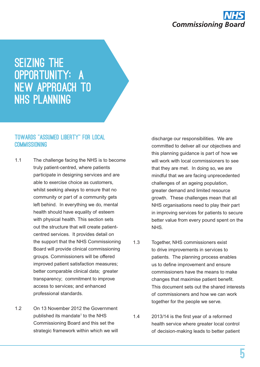

# SEIZING THE opportunity: a new approach to NHS planning

### Towards "assumed liberty" for local **COMMISSIONING**

- 1.1 The challenge facing the NHS is to become truly patient-centred, where patients participate in designing services and are able to exercise choice as customers, whilst seeking always to ensure that no community or part of a community gets left behind. In everything we do, mental health should have equality of esteem with physical health. This section sets out the structure that will create patientcentred services. It provides detail on the support that the NHS Commissioning Board will provide clinical commissioning groups. Commissioners will be offered improved patient satisfaction measures; better comparable clinical data; greater transparency; commitment to improve access to services; and enhanced professional standards.
- 1.2 On 13 November 2012 the Government published its mandate<sup>1</sup> to the NHS Commissioning Board and this set the strategic framework within which we will

discharge our responsibilities. We are committed to deliver all our objectives and this planning guidance is part of how we will work with local commissioners to see that they are met. In doing so, we are mindful that we are facing unprecedented challenges of an ageing population, greater demand and limited resource growth. These challenges mean that all NHS organisations need to play their part in improving services for patients to secure better value from every pound spent on the NHS.

- 1.3 Together, NHS commissioners exist to drive improvements in services to patients. The planning process enables us to define improvement and ensure commissioners have the means to make changes that maximise patient benefit. This document sets out the shared interests of commissioners and how we can work together for the people we serve.
- 1.4 2013/14 is the first year of a reformed health service where greater local control of decision-making leads to better patient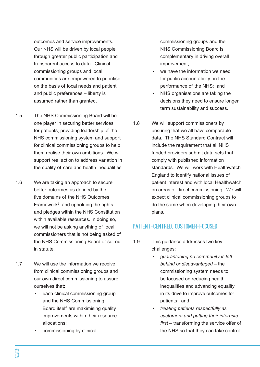outcomes and service improvements. Our NHS will be driven by local people through greater public participation and transparent access to data. Clinical commissioning groups and local communities are empowered to prioritise on the basis of local needs and patient and public preferences – liberty is assumed rather than granted.

- 1.5 The NHS Commissioning Board will be one player in securing better services for patients, providing leadership of the NHS commissioning system and support for clinical commissioning groups to help them realise their own ambitions. We will support real action to address variation in the quality of care and health inequalities.
- 1.6 We are taking an approach to secure better outcomes as defined by the five domains of the NHS Outcomes Framework<sup>2</sup> and upholding the rights and pledges within the NHS Constitution $3$ within available resources. In doing so, we will not be asking anything of local commissioners that is not being asked of the NHS Commissioning Board or set out in statute.
- 1.7 We will use the information we receive from clinical commissioning groups and our own direct commissioning to assure ourselves that:
	- each clinical commissioning group and the NHS Commissioning Board itself are maximising quality improvements within their resource allocations;
	- commissioning by clinical

commissioning groups and the NHS Commissioning Board is complementary in driving overall improvement;

- we have the information we need for public accountability on the performance of the NHS; and
- NHS organisations are taking the decisions they need to ensure longer term sustainability and success.
- 1.8 We will support commissioners by ensuring that we all have comparable data. The NHS Standard Contract will include the requirement that all NHS funded providers submit data sets that comply with published information standards. We will work with Healthwatch England to identify national issues of patient interest and with local Healthwatch on areas of direct commissioning. We will expect clinical commissioning groups to do the same when developing their own plans.

## Patient-centred, customer-focused

- 1.9 This guidance addresses two key challenges:
	- *• guaranteeing no community is left behind or disadvantaged* – the commissioning system needs to be focused on reducing health inequalities and advancing equality in its drive to improve outcomes for patients; and
	- *• treating patients respectfully as customers and putting their interests first* – transforming the service offer of the NHS so that they can take control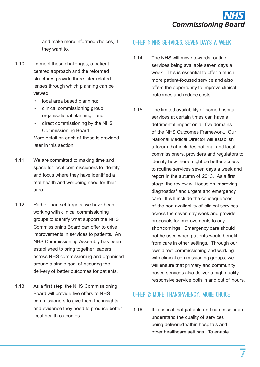

and make more informed choices, if they want to.

- 1.10 To meet these challenges, a patientcentred approach and the reformed structures provide three inter-related lenses through which planning can be viewed:
	- local area based planning;
	- clinical commissioning group organisational planning; and
	- direct commissioning by the NHS Commissioning Board.

More detail on each of these is provided later in this section.

- 1.11 We are committed to making time and space for local commissioners to identify and focus where they have identified a real health and wellbeing need for their area.
- 1.12 Rather than set targets, we have been working with clinical commissioning groups to identify what support the NHS Commissioning Board can offer to drive improvements in services to patients. An NHS Commissioning Assembly has been established to bring together leaders across NHS commissioning and organised around a single goal of securing the delivery of better outcomes for patients.
- 1.13 As a first step, the NHS Commissioning Board will provide five offers to NHS commissioners to give them the insights and evidence they need to produce better local health outcomes.

### Offer 1: NHS services, seven days a week

- 1.14 The NHS will move towards routine services being available seven days a week. This is essential to offer a much more patient-focused service and also offers the opportunity to improve clinical outcomes and reduce costs.
- 1.15 The limited availability of some hospital services at certain times can have a detrimental impact on all five domains of the NHS Outcomes Framework. Our National Medical Director will establish a forum that includes national and local commissioners, providers and regulators to identify how there might be better access to routine services seven days a week and report in the autumn of 2013. As a first stage, the review will focus on improving diagnostics<sup>4</sup> and urgent and emergency care. It will include the consequences of the non-availability of clinical services across the seven day week and provide proposals for improvements to any shortcomings. Emergency care should not be used when patients would benefit from care in other settings. Through our own direct commissioning and working with clinical commissioning groups, we will ensure that primary and community based services also deliver a high quality, responsive service both in and out of hours.

## Offer 2: More transparency, more choice

1.16 It is critical that patients and commissioners understand the quality of services being delivered within hospitals and other healthcare settings. To enable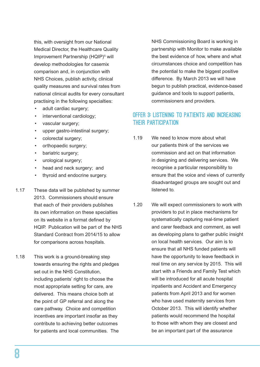this, with oversight from our National Medical Director, the Healthcare Quality Improvement Partnership (HQIP)<sup>5</sup> will develop methodologies for casemix comparison and, in conjunction with NHS Choices, publish activity, clinical quality measures and survival rates from national clinical audits for every consultant practising in the following specialties:

- adult cardiac surgery;
- interventional cardiology;
- vascular surgery;
- • upper gastro-intestinal surgery;
- colorectal surgery;
- orthopaedic surgery;
- bariatric surgery;
- • urological surgery;
- head and neck surgery; and
- • thyroid and endocrine surgery.
- 1.17 These data will be published by summer 2013. Commissioners should ensure that each of their providers publishes its own information on these specialties on its website in a format defined by HQIP. Publication will be part of the NHS Standard Contract from 2014/15 to allow for comparisons across hospitals.
- 1.18 This work is a ground-breaking step towards ensuring the rights and pledges set out in the NHS Constitution. including patients' right to choose the most appropriate setting for care, are delivered. This means choice both at the point of GP referral and along the care pathway. Choice and competition incentives are important insofar as they contribute to achieving better outcomes for patients and local communities. The

NHS Commissioning Board is working in partnership with Monitor to make available the best evidence of how, where and what circumstances choice and competition has the potential to make the biggest positive difference. By March 2013 we will have begun to publish practical, evidence-based guidance and tools to support patients, commissioners and providers.

# Offer 3: Listening to patients and increasing their participation

- 1.19 We need to know more about what our patients think of the services we commission and act on that information in designing and delivering services. We recognise a particular responsibility to ensure that the voice and views of currently disadvantaged groups are sought out and listened to.
- 1.20 We will expect commissioners to work with providers to put in place mechanisms for systematically capturing real-time patient and carer feedback and comment, as well as developing plans to gather public insight on local health services. Our aim is to ensure that all NHS funded patients will have the opportunity to leave feedback in real time on any service by 2015. This will start with a Friends and Family Test which will be introduced for all acute hospital inpatients and Accident and Emergency patients from April 2013 and for women who have used maternity services from October 2013. This will identify whether patients would recommend the hospital to those with whom they are closest and be an important part of the assurance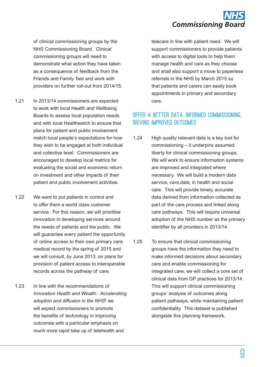

of clinical commissioning groups by the NHS Commissioning Board. Clinical commissioning groups will need to demonstrate what action they have taken as a consequence of feedback from the Friends and Family Test and work with providers on further roll-out from 2014/15.

- 1.21 In 2013/14 commissioners are expected to work with local Health and Wellbeing Boards to assess local population needs and with local Healthwatch to ensure that plans for patient and public involvement match local people's expectations for how they wish to be engaged at both individual and collective level. Commissioners are encouraged to develop local metrics for evaluating the social and economic return on investment and other impacts of their patient and public involvement activities.
- 1.22 We want to put patients in control and to offer them a world class customer service. For this reason, we will prioritise innovation in developing services around the needs of patients and the public. We will guarantee every patient the opportunity of online access to their own primary care medical record by the spring of 2015 and we will consult, by June 2013, on plans for provision of patient access to interoperable records across the pathway of care.
- 1.23 In line with the recommendations of *Innovation Health and Wealth: Accelerating*  adoption and diffusion in the NHS<sup>6</sup> we will expect commissioners to promote the benefits of technology in improving outcomes with a particular emphasis on much more rapid take up of telehealth and

telecare in line with patient need. We will support commissioners to provide patients with access to digital tools to help them manage health and care as they choose and shall also support a move to paperless referrals in the NHS by March 2015 so that patients and carers can easily book appointments in primary and secondary care.

## Offer 4: Better data, informed commissioning, driving improved outcomes

- 1.24 High quality relevant data is a key tool for commissioning – it underpins assumed liberty for clinical commissioning groups. We will work to ensure information systems are improved and integrated where necessary. We will build a modern data service, *<care.data>*, in health and social care. This will provide timely, accurate data derived from information collected as part of the care process and linked along care pathways. This will require universal adoption of the NHS number as the primary identifier by all providers in 2013/14.
- 1.25 To ensure that clinical commissioning groups have the information they need to make informed decisions about secondary care and enable commissioning for integrated care, we will collect a core set of clinical data from GP practices for 2013/14. This will support clinical commissioning groups' analysis of outcomes along patient pathways, while maintaining patient confidentiality. This dataset is published alongside this planning framework.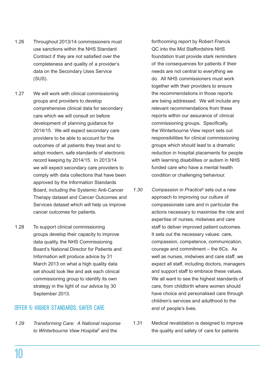- 1.26 Throughout 2013/14 commissioners must use sanctions within the NHS Standard Contract if they are not satisfied over the completeness and quality of a provider's data on the Secondary Uses Service (SUS).
- 1.27 We will work with clinical commissioning groups and providers to develop comprehensive clinical data for secondary care which we will consult on before development of planning guidance for 2014/15. We will expect secondary care providers to be able to account for the outcomes of all patients they treat and to adopt modern, safe standards of electronic record keeping by 2014/15. In 2013/14 we will expect secondary care providers to comply with data collections that have been approved by the Information Standards Board, including the Systemic Anti-Cancer Therapy dataset and Cancer Outcomes and Services dataset which will help us improve cancer outcomes for patients.
- 1.28 To support clinical commissioning groups develop their capacity to improve data quality, the NHS Commissioning Board's National Director for Patients and Information will produce advice by 31 March 2013 on what a high quality data set should look like and ask each clinical commissioning group to identify its own strategy in the light of our advice by 30 September 2013.

## Offer 5: Higher standards, safer care

*1.29 Transforming Care: A National response to Winterbourne View Hospital*<sup>7</sup> and the

forthcoming report by Robert Francis QC into the Mid Staffordshire NHS foundation trust provide stark reminders of the consequences for patients if their needs are not central to everything we do. All NHS commissioners must work together with their providers to ensure the recommendations in those reports are being addressed. We will include any relevant recommendations from these reports within our assurance of clinical commissioning groups. Specifically, the Winterbourne View report sets out responsibilities for clinical commissioning groups which should lead to a dramatic reduction in hospital placements for people with learning disabilities or autism in NHS funded care who have a mental health condition or challenging behaviour.

- 1.30 Compassion in Practice<sup>8</sup> sets out a new approach to improving our culture of compassionate care and in particular the actions necessary to maximise the role and expertise of nurses, midwives and care staff to deliver improved patient outcomes. It sets out the necessary values: care, compassion, competence, communication, courage and commitment – the 6Cs. As well as nurses, midwives and care staff, we expect all staff, including doctors, managers and support staff to embrace these values. We all want to see the highest standards of care, from childbirth where women should have choice and personalised care through children's services and adulthood to the end of people's lives.
- 1.31 Medical revalidation is designed to improve the quality and safety of care for patients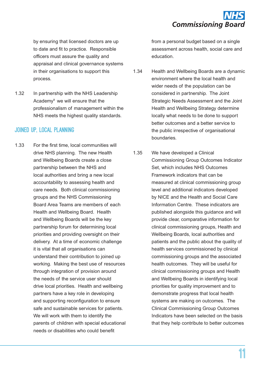

by ensuring that licensed doctors are up to date and fit to practice. Responsible officers must assure the quality and appraisal and clinical governance systems in their organisations to support this process.

1.32 In partnership with the NHS Leadership Academy9 we will ensure that the professionalism of management within the NHS meets the highest quality standards.

### Joined up, local planning

1.33 For the first time, local communities will drive NHS planning. The new Health and Wellbeing Boards create a close partnership between the NHS and local authorities and bring a new local accountability to assessing health and care needs. Both clinical commissioning groups and the NHS Commissioning Board Area Teams are members of each Health and Wellbeing Board. Health and Wellbeing Boards will be the key partnership forum for determining local priorities and providing oversight on their delivery. At a time of economic challenge it is vital that all organisations can understand their contribution to joined up working. Making the best use of resources through integration of provision around the needs of the service user should drive local priorities. Health and wellbeing partners have a key role in developing and supporting reconfiguration to ensure safe and sustainable services for patients. We will work with them to identify the parents of children with special educational needs or disabilities who could benefit

from a personal budget based on a single assessment across health, social care and education.

- 1.34 Health and Wellbeing Boards are a dynamic environment where the local health and wider needs of the population can be considered in partnership. The Joint Strategic Needs Assessment and the Joint Health and Wellbeing Strategy determine locally what needs to be done to support better outcomes and a better service to the public irrespective of organisational boundaries.
- 1.35 We have developed a Clinical Commissioning Group Outcomes Indicator Set, which includes NHS Outcomes Framework indicators that can be measured at clinical commissioning group level and additional indicators developed by NICE and the Health and Social Care Information Centre. These indicators are published alongside this guidance and will provide clear, comparative information for clinical commissioning groups, Health and Wellbeing Boards, local authorities and patients and the public about the quality of health services commissioned by clinical commissioning groups and the associated health outcomes. They will be useful for clinical commissioning groups and Health and Wellbeing Boards in identifying local priorities for quality improvement and to demonstrate progress that local health systems are making on outcomes. The Clinical Commissioning Group Outcomes Indicators have been selected on the basis that they help contribute to better outcomes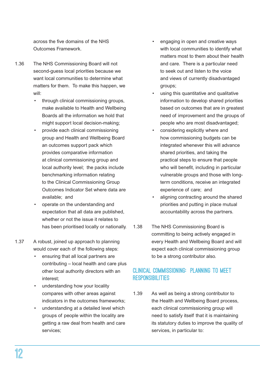across the five domains of the NHS Outcomes Framework.

- 1.36 The NHS Commissioning Board will not second-guess local priorities because we want local communities to determine what matters for them. To make this happen, we will:
	- through clinical commissioning groups, make available to Health and Wellbeing Boards all the information we hold that might support local decision-making;
	- provide each clinical commissioning group and Health and Wellbeing Board an outcomes support pack which provides comparative information at clinical commissioning group and local authority level; the packs include benchmarking information relating to the Clinical Commissioning Group Outcomes Indicator Set where data are available; and
	- operate on the understanding and expectation that all data are published, whether or not the issue it relates to has been prioritised locally or nationally.
- 1.37 A robust, joined up approach to planning would cover each of the following steps:
	- ensuring that all local partners are contributing – local health and care plus other local authority directors with an interest;
	- understanding how your locality compares with other areas against indicators in the outcomes frameworks;
	- understanding at a detailed level which groups of people within the locality are getting a raw deal from health and care services;
- engaging in open and creative ways with local communities to identify what matters most to them about their health and care. There is a particular need to seek out and listen to the voice and views of currently disadvantaged groups;
- using this quantitative and qualitative information to develop shared priorities based on outcomes that are in greatest need of improvement and the groups of people who are most disadvantaged;
- considering explicitly where and how commissioning budgets can be integrated whenever this will advance shared priorities, and taking the practical steps to ensure that people who will benefit, including in particular vulnerable groups and those with longterm conditions, receive an integrated experience of care; and
- aligning contracting around the shared priorities and putting in place mutual accountability across the partners.
- 1.38 The NHS Commissioning Board is committing to being actively engaged in every Health and Wellbeing Board and will expect each clinical commissioning group to be a strong contributor also.

# Clinical Commissioning: planning to meet **RESPONSIBILITIES**

1.39 As well as being a strong contributor to the Health and Wellbeing Board process, each clinical commissioning group will need to satisfy itself that it is maintaining its statutory duties to improve the quality of services, in particular to: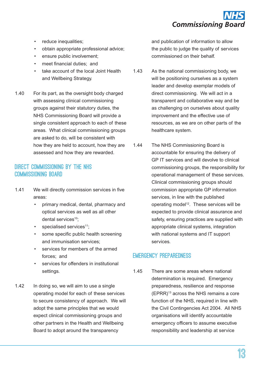

- reduce inequalities;
- obtain appropriate professional advice;
- ensure public involvement:
- meet financial duties: and
- take account of the local Joint Health and Wellbeing Strategy.
- 1.40 For its part, as the oversight body charged with assessing clinical commissioning groups against their statutory duties, the NHS Commissioning Board will provide a single consistent approach to each of these areas. What clinical commissioning groups are asked to do, will be consistent with how they are held to account, how they are assessed and how they are rewarded.

## DIRECT COMMISSIONING BY THE NHS Commissioning Board

- 1.41 We will directly commission services in five areas:
	- primary medical, dental, pharmacy and optical services as well as all other dental services<sup>10</sup>:
	- $\cdot$  specialised services<sup>11</sup>;
	- some specific public health screening and immunisation services;
	- • services for members of the armed forces; and
	- services for offenders in institutional settings.
- 1.42 In doing so, we will aim to use a single operating model for each of these services to secure consistency of approach. We will adopt the same principles that we would expect clinical commissioning groups and other partners in the Health and Wellbeing Board to adopt around the transparency

and publication of information to allow the public to judge the quality of services commissioned on their behalf.

- 1.43 As the national commissioning body, we will be positioning ourselves as a system leader and develop exemplar models of direct commissioning. We will act in a transparent and collaborative way and be as challenging on ourselves about quality improvement and the effective use of resources, as we are on other parts of the healthcare system.
- 1.44 The NHS Commissioning Board is accountable for ensuring the delivery of GP IT services and will devolve to clinical commissioning groups, the responsibility for operational management of these services. Clinical commissioning groups should commission appropriate GP information services, in line with the published operating model<sup>12</sup>. These services will be expected to provide clinical assurance and safety, ensuring practices are supplied with appropriate clinical systems, integration with national systems and IT support services.

# Emergency preparedness

1.45 There are some areas where national determination is required. Emergency preparedness, resilience and response (EPRR)13 across the NHS remains a core function of the NHS, required in line with the Civil Contingencies Act 2004. All NHS organisations will identify accountable emergency officers to assume executive responsibility and leadership at service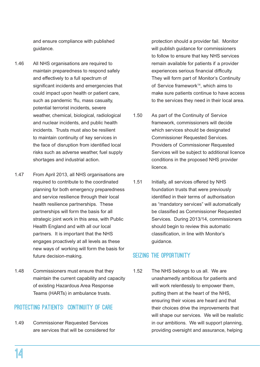and ensure compliance with published guidance.

- 1.46 All NHS organisations are required to maintain preparedness to respond safely and effectively to a full spectrum of significant incidents and emergencies that could impact upon health or patient care, such as pandemic 'flu, mass casualty, potential terrorist incidents, severe weather, chemical, biological, radiological and nuclear incidents, and public health incidents. Trusts must also be resilient to maintain continuity of key services in the face of disruption from identified local risks such as adverse weather, fuel supply shortages and industrial action.
- 1.47 From April 2013, all NHS organisations are required to contribute to the coordinated planning for both emergency preparedness and service resilience through their local health resilience partnerships. These partnerships will form the basis for all strategic joint work in this area, with Public Health England and with all our local partners. It is important that the NHS engages proactively at all levels as these new ways of working will form the basis for future decision-making.
- 1.48 Commissioners must ensure that they maintain the current capability and capacity of existing Hazardous Area Response Teams (HARTs) in ambulance trusts.

## PROTECTING PATIENTS: CONTINUITY OF CARE

1.49 Commissioner Requested Services are services that will be considered for protection should a provider fail. Monitor will publish guidance for commissioners to follow to ensure that key NHS services remain available for patients if a provider experiences serious financial difficulty. They will form part of Monitor's Continuity of Service framework<sup>14</sup>, which aims to make sure patients continue to have access to the services they need in their local area.

- 1.50 As part of the Continuity of Service framework, commissioners will decide which services should be designated Commissioner Requested Services. Providers of Commissioner Requested Services will be subject to additional licence conditions in the proposed NHS provider licence.
- 1.51 Initially, all services offered by NHS foundation trusts that were previously identified in their terms of authorisation as "mandatory services" will automatically be classified as Commissioner Requested Services. During 2013/14, commissioners should begin to review this automatic classification, in line with Monitor's guidance.

## Seizing the opportunity

1.52 The NHS belongs to us all. We are unashamedly ambitious for patients and will work relentlessly to empower them, putting them at the heart of the NHS, ensuring their voices are heard and that their choices drive the improvements that will shape our services. We will be realistic in our ambitions. We will support planning, providing oversight and assurance, helping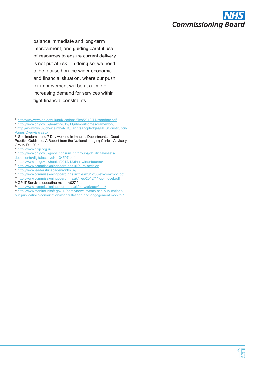

balance immediate and long-term improvement, and guiding careful use of resources to ensure current delivery is not put at risk. In doing so, we need to be focused on the wider economic and financial situation, where our push for improvement will be at a time of increasing demand for services within tight financial constraints.

- [http://www.dh.gov.uk/health/2012/12/final-](http://www.dh.gov.uk/health/2012/12/final)winterbourne/ 8 <http://www.commissioningboard.nhs.uk/nursingvision>
- 9 [http://www.leadershipacademy.nhs.uk/](http://www.leadershipacademy.nhs.uk)
- 
- 10<http://www.commissioningboard.nhs.uk/files/2012/06/ex-comm-pc.pdf>
- 11<http://www.commissioningboard.nhs.uk/files/2012/11/op-model.pdf>
- <sup>12</sup> GP IT Services operating model v027 final
- 13<http://www.commissioningboard.nhs.uk/ourwork/gov/eprr>/

14 [http://www.monitor-nhsft.gov.uk/home/news-events-and-publications/](http://www.monitor-nhsft.gov.uk/home/news-events-and-publications/our-publications/consultations/consultations-and-engagement-monito-1) [our-publications/consultations/consultations-](http://www.monitor-nhsft.gov.uk/home/news-events-and-publications/our-publications/consultations/consultations-and-engagement-monito-1)and-engagement-monito-1

<sup>1</sup> <https://www.wp.dh.gov.uk/publications/files/2012/11/mandate.pdf>

<sup>2</sup> [http://www.dh.gov.uk/health/2012/11/nhs-](http://www.dh.gov.uk/health/2012/11/nhs)outcomes-framework/

<sup>3</sup> [http://www.nhs.uk/choiceintheNHS/Rightsandpledges/NHSConstitution/](http://www.nhs.uk/choiceintheNHS/Rightsandpledges/NHSConstitution/ Pages/Overview.aspx) [Pages/Overview.aspx](http://www.nhs.uk/choiceintheNHS/Rightsandpledges/NHSConstitution/ Pages/Overview.aspx)

<sup>4</sup> See Implementing 7 Day working in Imaging Departments : Good Practice Guidance. A Report from the National Imaging Clinical Advisory Group. DH 2011.

<sup>5</sup> <http://www.hqip.org.uk>/

<sup>6</sup> [http://www.dh.gov.uk/prod\\_consum\\_dh/groups/dh\\_digitalassets/](http://www.dh.gov.uk/prod_consum_dh/groups/dh_digitalassets/documents/digitalasset/dh_134597.pdf)

[documents/digitalasset/dh\\_134597.pdf](http://www.dh.gov.uk/prod_consum_dh/groups/dh_digitalassets/documents/digitalasset/dh_134597.pdf)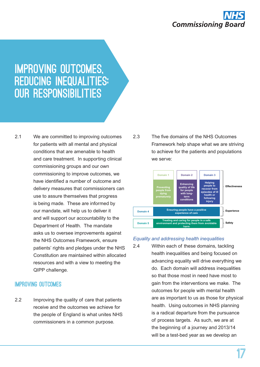

# Improving outcomes, reducing inequalities: our responsibilities

2.1 We are committed to improving outcomes for patients with all mental and physical conditions that are amenable to health and care treatment. In supporting clinical commissioning groups and our own commissioning to improve outcomes, we have identified a number of outcome and delivery measures that commissioners can use to assure themselves that progress is being made. These are informed by our mandate, will help us to deliver it and will support our accountability to the Department of Health. The mandate asks us to oversee improvements against the NHS Outcomes Framework, ensure patients' rights and pledges under the NHS Constitution are maintained within allocated resources and with a view to meeting the QIPP challenge.

### Improving outcomes

2.2 Improving the quality of care that patients receive and the outcomes we achieve for the people of England is what unites NHS commissioners in a common purpose.

2.3 The five domains of the NHS Outcomes Framework help shape what we are striving to achieve for the patients and populations we serve:



#### *Equality and addressing health inequalities*

2.4 Within each of these domains, tackling health inequalities and being focused on advancing equality will drive everything we do. Each domain will address inequalities so that those most in need have most to gain from the interventions we make. The outcomes for people with mental health are as important to us as those for physical health. Using outcomes in NHS planning is a radical departure from the pursuance of process targets. As such, we are at the beginning of a journey and 2013/14 will be a test-bed year as we develop an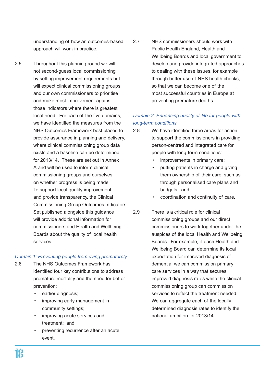understanding of how an outcomes-based approach will work in practice.

2.5 Throughout this planning round we will not second-guess local commissioning by setting improvement requirements but will expect clinical commissioning groups and our own commissioners to prioritise and make most improvement against those indicators where there is greatest local need. For each of the five domains, we have identified the measures from the NHS Outcomes Framework best placed to provide assurance in planning and delivery, where clinical commissioning group data exists and a baseline can be determined for 2013/14. These are set out in Annex A and will be used to inform clinical commissioning groups and ourselves on whether progress is being made. To support local quality improvement and provide transparency, the Clinical Commissioning Group Outcomes Indicators Set published alongside this guidance will provide additional information for commissioners and Health and Wellbeing Boards about the quality of local health services.

#### *Domain 1: Preventing people from dying prematurely*

- 2.6 The NHS Outcomes Framework has identified four key contributions to address premature mortality and the need for better prevention:
	- earlier diagnosis;
	- improving early management in community settings;
	- improving acute services and treatment; and
	- preventing recurrence after an acute event.

2.7 NHS commissioners should work with Public Health England, Health and Wellbeing Boards and local government to develop and provide integrated approaches to dealing with these issues, for example through better use of NHS health checks, so that we can become one of the most successful countries in Europe at preventing premature deaths.

## *Domain 2: Enhancing quality of life for people with long-term conditions*

- 2.8 We have identified three areas for action to support the commissioners in providing person-centred and integrated care for people with long-term conditions:
	- improvements in primary care;
	- putting patients in charge and giving them ownership of their care, such as through personalised care plans and budgets; and
	- coordination and continuity of care.
- 2.9 There is a critical role for clinical commissioning groups and our direct commissioners to work together under the auspices of the local Health and Wellbeing Boards. For example, if each Health and Wellbeing Board can determine its local expectation for improved diagnosis of dementia, we can commission primary care services in a way that secures improved diagnosis rates while the clinical commissioning group can commission services to reflect the treatment needed. We can aggregate each of the locally determined diagnosis rates to identify the national ambition for 2013/14.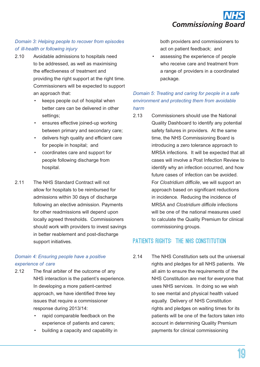

### *Domain 3: Helping people to recover from episodes of ill-health or following injury*

- 2.10 Avoidable admissions to hospitals need to be addressed, as well as maximising the effectiveness of treatment and providing the right support at the right time. Commissioners will be expected to support an approach that:
	- keeps people out of hospital when better care can be delivered in other settings;
	- ensures effective joined-up working between primary and secondary care;
	- delivers high quality and efficient care for people in hospital; and
	- coordinates care and support for people following discharge from hospital.
- 2.11 The NHS Standard Contract will not allow for hospitals to be reimbursed for admissions within 30 days of discharge following an elective admission. Payments for other readmissions will depend upon locally agreed thresholds. Commissioners should work with providers to invest savings in better reablement and post-discharge support initiatives.

#### *Domain 4: Ensuring people have a positive experience of care*

- 2.12 The final arbiter of the outcome of any NHS interaction is the patient's experience. In developing a more patient-centred approach, we have identified three key issues that require a commissioner response during 2013/14:
	- rapid comparable feedback on the experience of patients and carers;
	- building a capacity and capability in

both providers and commissioners to act on patient feedback; and

assessing the experience of people who receive care and treatment from a range of providers in a coordinated package.

### *Domain 5: Treating and caring for people in a safe environment and protecting them from avoidable harm*

2.13 Commissioners should use the National Quality Dashboard to identify any potential safety failures in providers. At the same time, the NHS Commissioning Board is introducing a zero tolerance approach to MRSA infections. It will be expected that all cases will involve a Post Infection Review to identify why an infection occurred, and how future cases of infection can be avoided. For *Clostridium difficile*, we will support an approach based on significant reductions in incidence. Reducing the incidence of MRSA and *Clostridium difficile* infections will be one of the national measures used to calculate the Quality Premium for clinical commissioning groups.

# PATIENTS RIGHTS: THE NHS CONSTITUTION

2.14 The NHS Constitution sets out the universal rights and pledges for all NHS patients. We all aim to ensure the requirements of the NHS Constitution are met for everyone that uses NHS services. In doing so we wish to see mental and physical health valued equally. Delivery of NHS Constitution rights and pledges on waiting times for its patients will be one of the factors taken into account in determining Quality Premium payments for clinical commissioning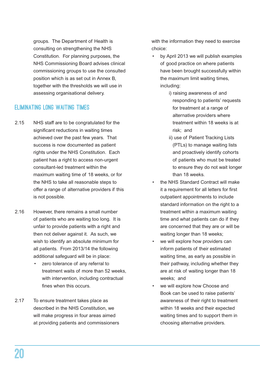groups. The Department of Health is consulting on strengthening the NHS Constitution. For planning purposes, the NHS Commissioning Board advises clinical commissioning groups to use the consulted position which is as set out in Annex B, together with the thresholds we will use in assessing organisational delivery.

# Eliminating long waiting times

- 2.15 NHS staff are to be congratulated for the significant reductions in waiting times achieved over the past few years. That success is now documented as patient rights under the NHS Constitution. Each patient has a right to access non-urgent consultant-led treatment within the maximum waiting time of 18 weeks, or for the NHS to take all reasonable steps to offer a range of alternative providers if this is not possible.
- 2.16 However, there remains a small number of patients who are waiting too long. It is unfair to provide patients with a right and then not deliver against it. As such, we wish to identify an absolute minimum for all patients. From 2013/14 the following additional safeguard will be in place:
	- zero tolerance of any referral to treatment waits of more than 52 weeks, with intervention, including contractual fines when this occurs.
- 2.17 To ensure treatment takes place as described in the NHS Constitution, we will make progress in four areas aimed at providing patients and commissioners

with the information they need to exercise choice:

- • by April 2013 we will publish examples of good practice on where patients have been brought successfully within the maximum limit waiting times, including:
	- i) raising awareness of and responding to patients' requests for treatment at a range of alternative providers where treatment within 18 weeks is at risk; and
	- ii) use of Patient Tracking Lists (PTLs) to manage waiting lists and proactively identify cohorts of patients who must be treated to ensure they do not wait longer than 18 weeks.
- the NHS Standard Contract will make it a requirement for all letters for first outpatient appointments to include standard information on the right to a treatment within a maximum waiting time and what patients can do if they are concerned that they are or will be waiting longer than 18 weeks;
- we will explore how providers can inform patients of their estimated waiting time, as early as possible in their pathway, including whether they are at risk of waiting longer than 18 weeks; and
- we will explore how Choose and Book can be used to raise patients' awareness of their right to treatment within 18 weeks and their expected waiting times and to support them in choosing alternative providers.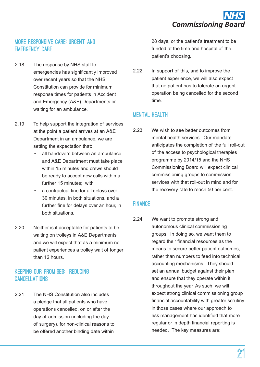# More responsive care: urgent and emergency care

- 2.18 The response by NHS staff to emergencies has significantly improved over recent years so that the NHS Constitution can provide for minimum response times for patients in Accident and Emergency (A&E) Departments or waiting for an ambulance.
- 2.19 To help support the integration of services at the point a patient arrives at an A&E Department in an ambulance, we are setting the expectation that:
	- all handovers between an ambulance and A&E Department must take place within 15 minutes and crews should be ready to accept new calls within a further 15 minutes; with
	- a contractual fine for all delays over 30 minutes, in both situations, and a further fine for delays over an hour, in both situations.
- 2.20 Neither is it acceptable for patients to be waiting on trolleys in A&E Departments and we will expect that as a minimum no patient experiences a trolley wait of longer than 12 hours.

# Keeping our promises: reducing **CANCELLATIONS**

2.21 The NHS Constitution also includes a pledge that all patients who have operations cancelled, on or after the day of admission (including the day of surgery), for non-clinical reasons to be offered another binding date within

28 days, or the patient's treatment to be funded at the time and hospital of the patient's choosing.

2.22 In support of this, and to improve the patient experience, we will also expect that no patient has to tolerate an urgent operation being cancelled for the second time.

# **MENTAL HEALTH**

2.23 We wish to see better outcomes from mental health services. Our mandate anticipates the completion of the full roll-out of the access to psychological therapies programme by 2014/15 and the NHS Commissioning Board will expect clinical commissioning groups to commission services with that roll-out in mind and for the recovery rate to reach 50 per cent.

## **FINANCE**

2.24 We want to promote strong and autonomous clinical commissioning groups. In doing so, we want them to regard their financial resources as the means to secure better patient outcomes, rather than numbers to feed into technical accounting mechanisms. They should set an annual budget against their plan and ensure that they operate within it throughout the year. As such, we will expect strong clinical commissioning group financial accountability with greater scrutiny in those cases where our approach to risk management has identified that more regular or in depth financial reporting is needed. The key measures are: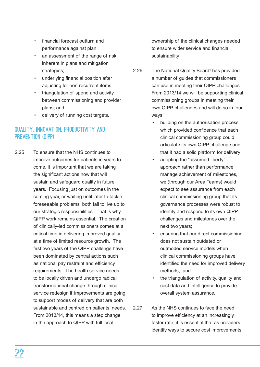- • financial forecast outturn and performance against plan;
- an assessment of the range of risk inherent in plans and mitigation strategies:
- underlying financial position after adjusting for non-recurrent items;
- triangulation of spend and activity between commissioning and provider plans; and
- delivery of running cost targets.

# Quality, innovation, productivity and prevention (QIPP)

2.25 To ensure that the NHS continues to improve outcomes for patients in years to come, it is important that we are taking the significant actions now that will sustain and safeguard quality in future years. Focusing just on outcomes in the coming year, or waiting until later to tackle foreseeable problems, both fail to live up to our strategic responsibilities. That is why QIPP work remains essential. The creation of clinically-led commissioners comes at a critical time in delivering improved quality at a time of limited resource growth. The first two years of the QIPP challenge have been dominated by central actions such as national pay restraint and efficiency requirements. The health service needs to be locally driven and undergo radical transformational change through clinical service redesign if improvements are going to support modes of delivery that are both sustainable and centred on patients' needs. From 2013/14, this means a step change in the approach to QIPP with full local

ownership of the clinical changes needed to ensure wider service and financial sustainability.

- 2.26 The National Quality Board<sup>1</sup> has provided a number of guides that commissioners can use in meeting their QIPP challenges. From 2013/14 we will be supporting clinical commissioning groups in meeting their own QIPP challenges and will do so in four ways:
	- building on the authorisation process which provided confidence that each clinical commissioning group could articulate its own QIPP challenge and that it had a solid platform for delivery;
	- adopting the "assumed liberty" approach rather than performance manage achievement of milestones, we (through our Area Teams) would expect to see assurance from each clinical commissioning group that its governance processes were robust to identify and respond to its own QIPP challenges and milestones over the next two years;
	- ensuring that our direct commissioning does not sustain outdated or outmoded service models when clinical commissioning groups have identified the need for improved delivery methods; and
	- the triangulation of activity, quality and cost data and intelligence to provide overall system assurance.
- 2.27 As the NHS continues to face the need to improve efficiency at an increasingly faster rate, it is essential that as providers identify ways to secure cost improvements,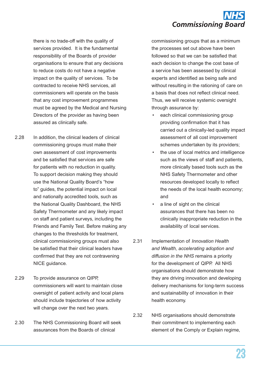

there is no trade-off with the quality of services provided. It is the fundamental responsibility of the Boards of provider organisations to ensure that any decisions to reduce costs do not have a negative impact on the quality of services. To be contracted to receive NHS services, all commissioners will operate on the basis that any cost improvement programmes must be agreed by the Medical and Nursing Directors of the provider as having been assured as clinically safe.

2.28 In addition, the clinical leaders of clinical commissioning groups must make their own assessment of cost improvements and be satisfied that services are safe for patients with no reduction in quality. To support decision making they should use the National Quality Board's "how to" guides, the potential impact on local and nationally accredited tools, such as the National Quality Dashboard, the NHS Safety Thermometer and any likely impact on staff and patient surveys, including the Friends and Family Test. Before making any changes to the thresholds for treatment, clinical commissioning groups must also be satisfied that their clinical leaders have confirmed that they are not contravening NICE guidance.

- 2.29 To provide assurance on QIPP, commissioners will want to maintain close oversight of patient activity and local plans should include trajectories of how activity will change over the next two years.
- 2.30 The NHS Commissioning Board will seek assurances from the Boards of clinical

commissioning groups that as a minimum the processes set out above have been followed so that we can be satisfied that each decision to change the cost base of a service has been assessed by clinical experts and identified as being safe and without resulting in the rationing of care on a basis that does not reflect clinical need. Thus, we will receive systemic oversight through assurance by:

- each clinical commissioning group providing confirmation that it has carried out a clinically-led quality impact assessment of all cost improvement schemes undertaken by its providers;
- the use of local metrics and intelligence such as the views of staff and patients, more clinically based tools such as the NHS Safety Thermometer and other resources developed locally to reflect the needs of the local health economy; and
- a line of sight on the clinical assurances that there has been no clinically inappropriate reduction in the availability of local services.
- 2.31 Implementation of *Innovation Health and Wealth, accelerating adoption and diffusion in the NHS* remains a priority for the development of QIPP. All NHS organisations should demonstrate how they are driving innovation and developing delivery mechanisms for long-term success and sustainability of innovation in their health economy.
- 2.32 NHS organisations should demonstrate their commitment to implementing each element of the Comply or Explain regime,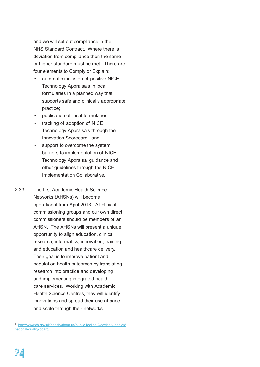and we will set out compliance in the NHS Standard Contract. Where there is deviation from compliance then the same or higher standard must be met. There are four elements to Comply or Explain:

- automatic inclusion of positive NICE Technology Appraisals in local formularies in a planned way that supports safe and clinically appropriate practice;
- publication of local formularies;
- tracking of adoption of NICE Technology Appraisals through the Innovation Scorecard; and
- support to overcome the system barriers to implementation of NICE Technology Appraisal guidance and other guidelines through the NICE Implementation Collaborative.
- 2.33 The first Academic Health Science Networks (AHSNs) will become operational from April 2013. All clinical commissioning groups and our own direct commissioners should be members of an AHSN. The AHSNs will present a unique opportunity to align education, clinical research, informatics, innovation, training and education and healthcare delivery. Their goal is to improve patient and population health outcomes by translating research into practice and developing and implementing integrated health care services. Working with Academic Health Science Centres, they will identify innovations and spread their use at pace and scale through their networks.

<sup>1</sup> [http://www.dh.gov.uk/health/about-us/public-bodies-2/advisory-bodies/](http://www.dh.gov.uk/health/about-us/public-bodies-2/advisory-bodies/national) [national](http://www.dh.gov.uk/health/about-us/public-bodies-2/advisory-bodies/national)-quality-board/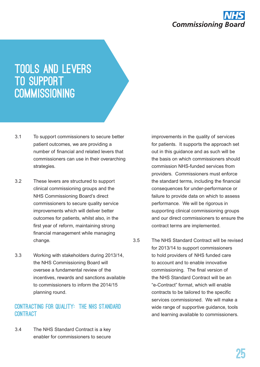

# Tools and levers to support **COMMISSIONING**

- 3.1 To support commissioners to secure better patient outcomes, we are providing a number of financial and related levers that commissioners can use in their overarching strategies.
- 3.2 These levers are structured to support clinical commissioning groups and the NHS Commissioning Board's direct commissioners to secure quality service improvements which will deliver better outcomes for patients, whilst also, in the first year of reform, maintaining strong financial management while managing change.
- 3.3 Working with stakeholders during 2013/14, the NHS Commissioning Board will oversee a fundamental review of the incentives, rewards and sanctions available to commissioners to inform the 2014/15 planning round.

### Contracting for quality: the NHS Standard **CONTRACT**

3.4 The NHS Standard Contract is a key enabler for commissioners to secure improvements in the quality of services for patients. It supports the approach set out in this guidance and as such will be the basis on which commissioners should commission NHS-funded services from providers. Commissioners must enforce the standard terms, including the financial consequences for under-performance or failure to provide data on which to assess performance. We will be rigorous in supporting clinical commissioning groups and our direct commissioners to ensure the contract terms are implemented.

3.5 The NHS Standard Contract will be revised for 2013/14 to support commissioners to hold providers of NHS funded care to account and to enable innovative commissioning. The final version of the NHS Standard Contract will be an "e-Contract" format, which will enable contracts to be tailored to the specific services commissioned. We will make a wide range of supportive guidance, tools and learning available to commissioners.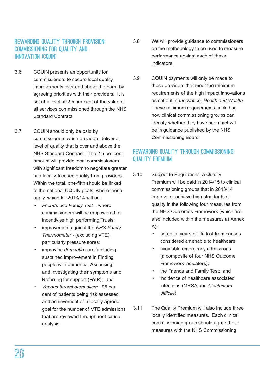# Rewarding quality through provision: commissioning for quality and INNOVATION (CQUIN)

- 3.6 CQUIN presents an opportunity for commissioners to secure local quality improvements over and above the norm by agreeing priorities with their providers. It is set at a level of 2.5 per cent of the value of all services commissioned through the NHS Standard Contract.
- 3.7 CQUIN should only be paid by commissioners when providers deliver a level of quality that is over and above the NHS Standard Contract. The 2.5 per cent amount will provide local commissioners with significant freedom to negotiate greater and locally-focused quality from providers. Within the total, one-fifth should be linked to the national CQUIN goals, where these apply, which for 2013/14 will be:
	- **Friends and Family Test where** commissioners will be empowered to incentivise high performing Trusts;
	- improvement against the *NHS Safety Thermometer* - (excluding VTE), particularly pressure sores;
	- improving *dementia* care, including sustained improvement in **F**inding people with dementia, **A**ssessing and **I**nvestigating their symptoms and **R**eferring for support (**FAIR**); and
	- Venous thromboembolism 95 per cent of patients being risk assessed and achievement of a locally agreed goal for the number of VTE admissions that are reviewed through root cause analysis.
- 3.8 We will provide guidance to commissioners on the methodology to be used to measure performance against each of these indicators.
- 3.9 CQUIN payments will only be made to those providers that meet the minimum requirements of the high impact innovations as set out in *Innovation, Health and Wealth.*  These minimum requirements, including how clinical commissioning groups can identify whether they have been met will be in guidance published by the NHS Commissioning Board.

# Rewarding quality through commissioning: quality premium

- 3.10 Subject to Regulations, a Quality Premium will be paid in 2014/15 to clinical commissioning groups that in 2013/14 improve or achieve high standards of quality in the following four measures from the NHS Outcomes Framework (which are also included within the measures at Annex  $A$ :
	- • potential years of life lost from causes considered amenable to healthcare;
	- avoidable emergency admissions (a composite of four NHS Outcome Framework indicators);
	- the Friends and Family Test; and
	- incidence of healthcare associated infections (MRSA and *Clostridium difficile*).
- 3.11 The Quality Premium will also include three locally identified measures. Each clinical commissioning group should agree these measures with the NHS Commissioning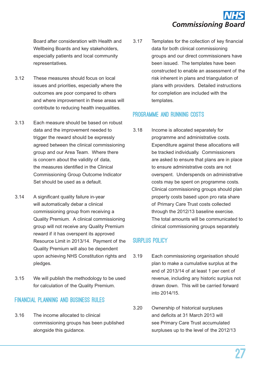

Board after consideration with Health and Wellbeing Boards and key stakeholders, especially patients and local community representatives.

- 3.12 These measures should focus on local issues and priorities, especially where the outcomes are poor compared to others and where improvement in these areas will contribute to reducing health inequalities.
- 3.13 Each measure should be based on robust data and the improvement needed to trigger the reward should be expressly agreed between the clinical commissioning group and our Area Team. Where there is concern about the validity of data, the measures identified in the Clinical Commissioning Group Outcome Indicator Set should be used as a default.
- 3.14 A significant quality failure in-year will automatically debar a clinical commissioning group from receiving a Quality Premium. A clinical commissioning group will not receive any Quality Premium reward if it has overspent its approved Resource Limit in 2013/14. Payment of the Quality Premium will also be dependent upon achieving NHS Constitution rights and pledges.
- 3.15 We will publish the methodology to be used for calculation of the Quality Premium.

# Financial planning and business rules

3.16 The income allocated to clinical commissioning groups has been published alongside this guidance.

3.17 Templates for the collection of key financial data for both clinical commissioning groups and our direct commissioners have been issued. The templates have been constructed to enable an assessment of the risk inherent in plans and triangulation of plans with providers. Detailed instructions for completion are included with the templates.

### Programme and running costs

3.18 Income is allocated separately for programme and administrative costs. Expenditure against these allocations will be tracked individually. Commissioners are asked to ensure that plans are in place to ensure administrative costs are not overspent. Underspends on administrative costs may be spent on programme costs. Clinical commissioning groups should plan property costs based upon pro rata share of Primary Care Trust costs collected through the 2012/13 baseline exercise. The total amounts will be communicated to clinical commissioning groups separately.

# Surplus policy

- 3.19 Each commissioning organisation should plan to make a cumulative surplus at the end of 2013/14 of at least 1 per cent of revenue, including any historic surplus not drawn down. This will be carried forward into 2014/15.
- 3.20 Ownership of historical surpluses and deficits at 31 March 2013 will see Primary Care Trust accumulated surpluses up to the level of the 2012/13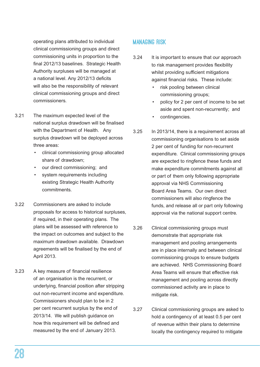operating plans attributed to individual clinical commissioning groups and direct commissioning units in proportion to the final 2012/13 baselines. Strategic Health Authority surpluses will be managed at a national level. Any 2012/13 deficits will also be the responsibility of relevant clinical commissioning groups and direct commissioners.

- 3.21 The maximum expected level of the national surplus drawdown will be finalised with the Department of Health. Any surplus drawdown will be deployed across three areas:
	- clinical commissioning group allocated share of drawdown;
	- our direct commissioning; and
	- system requirements including existing Strategic Health Authority commitments.
- 3.22 Commissioners are asked to include proposals for access to historical surpluses, if required, in their operating plans. The plans will be assessed with reference to the impact on outcomes and subject to the maximum drawdown available. Drawdown agreements will be finalised by the end of April 2013.
- 3.23 A key measure of financial resilience of an organisation is the recurrent, or underlying, financial position after stripping out non-recurrent income and expenditure. Commissioners should plan to be in 2 per cent recurrent surplus by the end of 2013/14. We will publish guidance on how this requirement will be defined and measured by the end of January 2013.

# Managing risk

- 3.24 It is important to ensure that our approach to risk management provides flexibility whilst providing sufficient mitigations against financial risks. These include:
	- risk pooling between clinical commissioning groups;
	- policy for 2 per cent of income to be set aside and spent non-recurrently; and
	- contingencies.
- 3.25 In 2013/14, there is a requirement across all commissioning organisations to set aside 2 per cent of funding for non-recurrent expenditure. Clinical commissioning groups are expected to ringfence these funds and make expenditure commitments against all or part of them only following appropriate approval via NHS Commissioning Board Area Teams. Our own direct commissioners will also ringfence the funds, and release all or part only following approval via the national support centre.
- 3.26 Clinical commissioning groups must demonstrate that appropriate risk management and pooling arrangements are in place internally and between clinical commissioning groups to ensure budgets are achieved. NHS Commissioning Board Area Teams will ensure that effective risk management and pooling across directly commissioned activity are in place to mitigate risk.
- 3.27 Clinical commissioning groups are asked to hold a contingency of at least 0.5 per cent of revenue within their plans to determine locally the contingency required to mitigate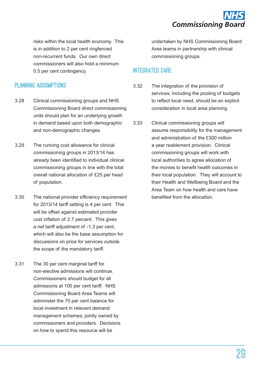

risks within the local health economy. This is in addition to 2 per cent ringfenced non-recurrent funds. Our own direct commissioners will also hold a minimum 0.5 per cent contingency.

### Planning Assumptions

- 3.28 Clinical commissioning groups and NHS Commissioning Board direct commissioning units should plan for an underlying growth in demand based upon both demographic and non-demographic changes.
- 3.29 The running cost allowance for clinical commissioning groups in 2013/14 has already been identified to individual clinical commissioning groups in line with the total overall national allocation of £25 per head of population.
- 3.30 The national provider efficiency requirement for 2013/14 tariff setting is 4 per cent. This will be offset against estimated provider cost inflation of 2.7 percent. This gives a net tariff adjustment of -1.3 per cent, which will also be the base assumption for discussions on price for services outside the scope of the mandatory tariff.
- 3.31 The 30 per cent marginal tariff for non-elective admissions will continue. Commissioners should budget for all admissions at 100 per cent tariff. NHS Commissioning Board Area Teams will administer the 70 per cent balance for local investment in relevant demand management schemes, jointly owned by commissioners and providers. Decisions on how to spend this resource will be

undertaken by NHS Commissioning Board Area teams in partnership with clinical commissioning groups.

### Integrated care

- 3.32 The integration of the provision of services, including the pooling of budgets to reflect local need, should be an explicit consideration in local area planning.
- 3.33 Clinical commissioning groups will assume responsibility for the management and administration of the £300 million a year reablement provision. Clinical commissioning groups will work with local authorities to agree allocation of the monies to benefit health outcomes in their local population. They will account to their Health and Wellbeing Board and the Area Team on how health and care have benefited from the allocation.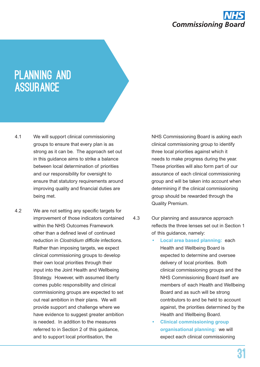

# PLANNING AND **ASSURANCE**

- 4.1 We will support clinical commissioning groups to ensure that every plan is as strong as it can be. The approach set out in this guidance aims to strike a balance between local determination of priorities and our responsibility for oversight to ensure that statutory requirements around improving quality and financial duties are being met.
- 4.2 We are not setting any specific targets for improvement of those indicators contained within the NHS Outcomes Framework other than a defined level of continued reduction in *Clostridium difficile* infections. Rather than imposing targets, we expect clinical commissioning groups to develop their own local priorities through their input into the Joint Health and Wellbeing Strategy. However, with assumed liberty comes public responsibility and clinical commissioning groups are expected to set out real ambition in their plans. We will provide support and challenge where we have evidence to suggest greater ambition is needed. In addition to the measures referred to in Section 2 of this guidance, and to support local prioritisation, the

NHS Commissioning Board is asking each clinical commissioning group to identify three local priorities against which it needs to make progress during the year. These priorities will also form part of our assurance of each clinical commissioning group and will be taken into account when determining if the clinical commissioning group should be rewarded through the Quality Premium.

- 4.3 Our planning and assurance approach reflects the three lenses set out in Section 1 of this guidance, namely:
	- **• Local area based planning:** each Health and Wellbeing Board is expected to determine and oversee delivery of local priorities. Both clinical commissioning groups and the NHS Commissioning Board itself are members of each Health and Wellbeing Board and as such will be strong contributors to and be held to account against, the priorities determined by the Health and Wellbeing Board.
	- **• Clinical commissioning group organisational planning:** we will expect each clinical commissioning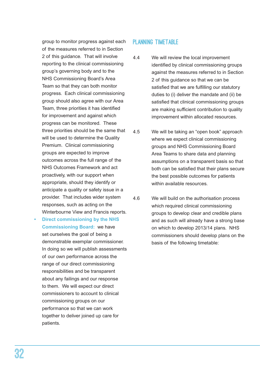group to monitor progress against each of the measures referred to in Section 2 of this guidance. That will involve reporting to the clinical commissioning group's governing body and to the NHS Commissioning Board's Area Team so that they can both monitor progress. Each clinical commissioning group should also agree with our Area Team, three priorities it has identified for improvement and against which progress can be monitored. These three priorities should be the same that will be used to determine the Quality Premium. Clinical commissioning groups are expected to improve outcomes across the full range of the NHS Outcomes Framework and act proactively, with our support when appropriate, should they identify or anticipate a quality or safety issue in a provider. That includes wider system responses, such as acting on the Winterbourne View and Francis reports.

**• Direct commissioning by the NHS Commissioning Board:** we have set ourselves the goal of being a demonstrable exemplar commissioner. In doing so we will publish assessments of our own performance across the range of our direct commissioning responsibilities and be transparent about any failings and our response to them. We will expect our direct commissioners to account to clinical commissioning groups on our performance so that we can work together to deliver joined up care for patients.

### PLANNING TIMETABLE

- 4.4 We will review the local improvement identified by clinical commissioning groups against the measures referred to in Section 2 of this guidance so that we can be satisfied that we are fulfilling our statutory duties to (i) deliver the mandate and (ii) be satisfied that clinical commissioning groups are making sufficient contribution to quality improvement within allocated resources.
- 4.5 We will be taking an "open book" approach where we expect clinical commissioning groups and NHS Commissioning Board Area Teams to share data and planning assumptions on a transparent basis so that both can be satisfied that their plans secure the best possible outcomes for patients within available resources.
- 4.6 We will build on the authorisation process which required clinical commissioning groups to develop clear and credible plans and as such will already have a strong base on which to develop 2013/14 plans. NHS commissioners should develop plans on the basis of the following timetable: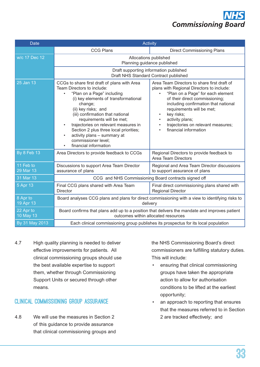

| <b>Date</b>            | <b>Activity</b>                                                                                                                                                                                                                                                                                                                                                                                                                                             |                                                                                                                                                                                                                                                                                                                                                             |
|------------------------|-------------------------------------------------------------------------------------------------------------------------------------------------------------------------------------------------------------------------------------------------------------------------------------------------------------------------------------------------------------------------------------------------------------------------------------------------------------|-------------------------------------------------------------------------------------------------------------------------------------------------------------------------------------------------------------------------------------------------------------------------------------------------------------------------------------------------------------|
|                        | <b>CCG Plans</b>                                                                                                                                                                                                                                                                                                                                                                                                                                            | <b>Direct Commissioning Plans</b>                                                                                                                                                                                                                                                                                                                           |
| w/c 17 Dec 12          | Allocations published<br>Planning guidance published<br>Draft supporting information published                                                                                                                                                                                                                                                                                                                                                              |                                                                                                                                                                                                                                                                                                                                                             |
|                        | Draft NHS Standard Contract published                                                                                                                                                                                                                                                                                                                                                                                                                       |                                                                                                                                                                                                                                                                                                                                                             |
| 25 Jan 13              | CCGs to share first draft of plans with Area<br>Team Directors to include:<br>"Plan on a Page" including<br>$\bullet$<br>(i) key elements of transformational<br>change;<br>(ii) key risks; and<br>(iii) confirmation that national<br>requirements will be met;<br>trajectories on relevant measures in<br>Section 2 plus three local priorities;<br>activity plans - summary at<br>$\bullet$<br>commissioner level;<br>financial information<br>$\bullet$ | Area Team Directors to share first draft of<br>plans with Regional Directors to include:<br>"Plan on a Page" for each element<br>of their direct commissioning;<br>including confirmation that national<br>requirements will be met;<br>key risks;<br>$\bullet$<br>activity plans;<br>٠<br>trajectories on relevant measures;<br>٠<br>financial information |
| <b>By 8 Feb 13</b>     | Area Directors to provide feedback to CCGs                                                                                                                                                                                                                                                                                                                                                                                                                  | Regional Directors to provide feedback to<br><b>Area Team Directors</b>                                                                                                                                                                                                                                                                                     |
| 11 Feb to<br>29 Mar 13 | Discussions to support Area Team Director<br>assurance of plans                                                                                                                                                                                                                                                                                                                                                                                             | Regional and Area Team Director discussions<br>to support assurance of plans                                                                                                                                                                                                                                                                                |
| 31 Mar 13              | CCG and NHS Commissioning Board contracts signed off                                                                                                                                                                                                                                                                                                                                                                                                        |                                                                                                                                                                                                                                                                                                                                                             |
| 5 Apr 13               | Final CCG plans shared with Area Team<br><b>Director</b>                                                                                                                                                                                                                                                                                                                                                                                                    | Final direct commissioning plans shared with<br><b>Regional Director</b>                                                                                                                                                                                                                                                                                    |
| 8 Apr to<br>19 Apr 13  | Board analyses CCG plans and plans for direct commissioning with a view to identifying risks to<br>delivery                                                                                                                                                                                                                                                                                                                                                 |                                                                                                                                                                                                                                                                                                                                                             |
| 22 Apr to<br>10 May 13 | Board confirms that plans add up to a position that delivers the mandate and improves patient<br>outcomes within allocated resources                                                                                                                                                                                                                                                                                                                        |                                                                                                                                                                                                                                                                                                                                                             |
| By 31 May 2013         | Each clinical commissioning group publishes its prospectus for its local population                                                                                                                                                                                                                                                                                                                                                                         |                                                                                                                                                                                                                                                                                                                                                             |

4.7 High quality planning is needed to deliver effective improvements for patients. All clinical commissioning groups should use the best available expertise to support them, whether through Commissioning Support Units or secured through other means.

## Clinical commissioning group assurance

4.8 We will use the measures in Section 2 of this guidance to provide assurance that clinical commissioning groups and the NHS Commissioning Board's direct commissioners are fulfilling statutory duties. This will include:

- • ensuring that clinical commissioning groups have taken the appropriate action to allow for authorisation conditions to be lifted at the earliest opportunity;
- an approach to reporting that ensures that the measures referred to in Section 2 are tracked effectively; and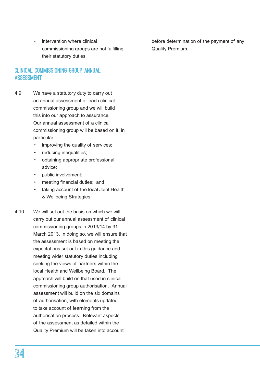intervention where clinical commissioning groups are not fulfilling their statutory duties.

# Clinical commissioning group annual **ASSESSMENT**

- 4.9 We have a statutory duty to carry out an annual assessment of each clinical commissioning group and we will build this into our approach to assurance. Our annual assessment of a clinical commissioning group will be based on it, in particular:
	- improving the quality of services;
	- reducing inequalities;
	- • obtaining appropriate professional advice;
	- public involvement:
	- meeting financial duties; and
	- taking account of the local Joint Health & Wellbeing Strategies.
- 4.10 We will set out the basis on which we will carry out our annual assessment of clinical commissioning groups in 2013/14 by 31 March 2013. In doing so, we will ensure that the assessment is based on meeting the expectations set out in this guidance and meeting wider statutory duties including seeking the views of partners within the local Health and Wellbeing Board. The approach will build on that used in clinical commissioning group authorisation. Annual assessment will build on the six domains of authorisation, with elements updated to take account of learning from the authorisation process. Relevant aspects of the assessment as detailed within the Quality Premium will be taken into account

before determination of the payment of any Quality Premium.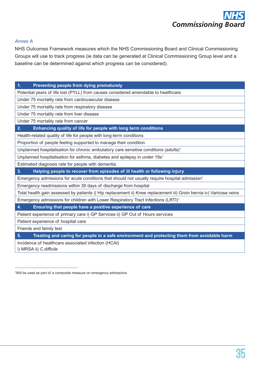

#### *Annex A*

NHS Outcomes Framework measures which the NHS Commissioning Board and Clinical Commissioning Groups will use to track progress (ie data can be generated at Clinical Commissioning Group level and a baseline can be determined against which progress can be considered).

#### **1. Preventing people from dying prematurely**

Potential years of life lost (PYLL) from causes considered amendable to healthcare

Under 75 mortality rate from cardiovascular disease

Under 75 mortality rate from respiratory disease

Under 75 mortality rate from liver disease

Under 75 mortality rate from cancer

#### **2. Enhancing quality of life for people with long term conditions**

Health-related quality of life for people with long-term conditions

Proportion of people feeling supported to manage their condition

Unplanned hospitalisation for chronic ambulatory care sensitive conditions (adults)<sup>1</sup>

Unplanned hospitalisation for asthma, diabetes and epilepsy in under 19s<sup>1</sup>

Estimated diagnosis rate for people with dementia

**3. Helping people to recover from episodes of ill health or following injury**

Emergency admissions for acute conditions that should not usually require hospital admission<sup>1</sup>

Emergency readmissions within 30 days of discharge from hospital

Total health gain assessed by patients i) Hip replacement ii) Knee replacement iii) Groin hernia iv) Varicose veins

Emergency admissions for children with Lower Respiratory Tract Infections (LRTI)<sup>1</sup>

**4. Ensuring that people have a positive experience of care**

Patient experience of primary care i) GP Services ii) GP Out of Hours services

Patient experience of hospital care

Friends and family test

**5. Treating and caring for people in a safe environment and protecting them from avoidable harm**

Incidence of healthcare associated infection (HCAI)

i) MRSA ii) *<C.difficile>*

<sup>&</sup>lt;sup>1</sup>Will be used as part of a composite measure on emergency admissions